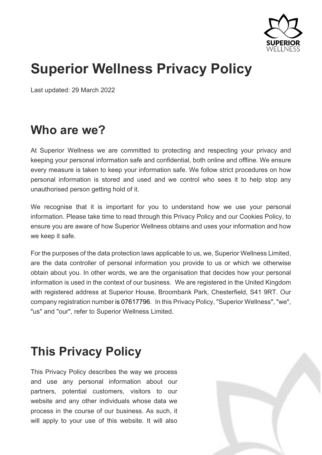

# **Superior Wellness Privacy Policy**

Last updated: 29 March 2022

## **Who are we?**

At Superior Wellness we are committed to protecting and respecting your privacy and keeping your personal information safe and confidential, both online and offline. We ensure every measure is taken to keep your information safe. We follow strict procedures on how personal information is stored and used and we control who sees it to help stop any unauthorised person getting hold of it.

We recognise that it is important for you to understand how we use your personal information. Please take time to read through this Privacy Policy and our Cookies Policy, to ensure you are aware of how Superior Wellness obtains and uses your information and how we keep it safe.

For the purposes of the data protection laws applicable to us, we, Superior Wellness Limited, are the data controller of personal information you provide to us or which we otherwise obtain about you. In other words, we are the organisation that decides how your personal information is used in the context of our business. We are registered in the United Kingdom with registered address at Superior House, Broombank Park, Chesterfield, S41 9RT. Our company registration number is 07617796. In this Privacy Policy, "Superior Wellness", "we", "us" and "our", refer to Superior Wellness Limited.

## **This Privacy Policy**

This Privacy Policy describes the way we process and use any personal information about our partners, potential customers, visitors to our website and any other individuals whose data we process in the course of our business. As such, it will apply to your use of this website. It will also

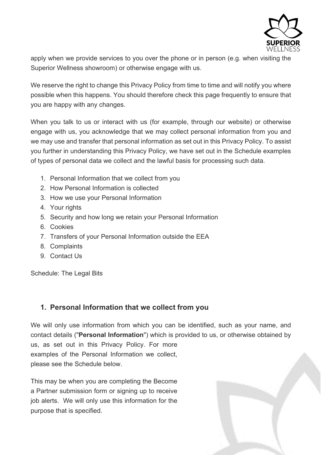

apply when we provide services to you over the phone or in person (e.g. when visiting the Superior Wellness showroom) or otherwise engage with us.

We reserve the right to change this Privacy Policy from time to time and will notify you where possible when this happens. You should therefore check this page frequently to ensure that you are happy with any changes.

When you talk to us or interact with us (for example, through our website) or otherwise engage with us, you acknowledge that we may collect personal information from you and we may use and transfer that personal information as set out in this Privacy Policy. To assist you further in understanding this Privacy Policy, we have set out in the Schedule examples of types of personal data we collect and the lawful basis for processing such data.

- 1. Personal Information that we collect from you
- 2. How Personal Information is collected
- 3. How we use your Personal Information
- 4. Your rights
- 5. Security and how long we retain your Personal Information
- 6. Cookies
- 7. Transfers of your Personal Information outside the EEA
- 8. Complaints
- 9. Contact Us

Schedule: The Legal Bits

#### **1. Personal Information that we collect from you**

We will only use information from which you can be identified, such as your name, and contact details ("**Personal Information**") which is provided to us, or otherwise obtained by us, as set out in this Privacy Policy. For more examples of the Personal Information we collect, please see the Schedule below.

This may be when you are completing the Become a Partner submission form or signing up to receive job alerts. We will only use this information for the purpose that is specified.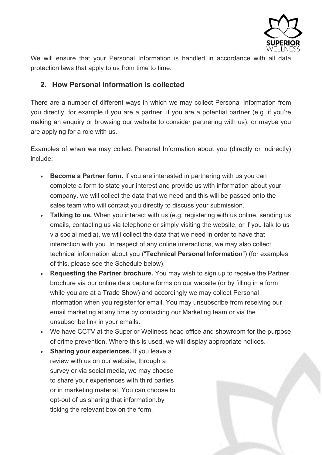

We will ensure that your Personal Information is handled in accordance with all data protection laws that apply to us from time to time.

#### **2. How Personal Information is collected**

There are a number of different ways in which we may collect Personal Information from you directly, for example if you are a partner, if you are a potential partner (e.g. if you're making an enquiry or browsing our website to consider partnering with us), or maybe you are applying for a role with us.

Examples of when we may collect Personal Information about you (directly or indirectly) include:

- **Become a Partner form.** If you are interested in partnering with us you can complete a form to state your interest and provide us with information about your company, we will collect the data that we need and this will be passed onto the sales team who will contact you directly to discuss your submission.
- **Talking to us.** When you interact with us (e.g. registering with us online, sending us emails, contacting us via telephone or simply visiting the website, or if you talk to us via social media), we will collect the data that we need in order to have that interaction with you. In respect of any online interactions, we may also collect technical information about you ("**Technical Personal Information**") (for examples of this, please see the Schedule below).
- **Requesting the Partner brochure.** You may wish to sign up to receive the Partner brochure via our online data capture forms on our website (or by filling in a form while you are at a Trade Show) and accordingly we may collect Personal Information when you register for email. You may unsubscribe from receiving our email marketing at any time by contacting our Marketing team or via the unsubscribe link in your emails.
- We have CCTV at the Superior Wellness head office and showroom for the purpose of crime prevention. Where this is used, we will display appropriate notices.
- **Sharing your experiences.** If you leave a review with us on our website, through a survey or via social media, we may choose to share your experiences with third parties or in marketing material. You can choose to opt-out of us sharing that information.by ticking the relevant box on the form.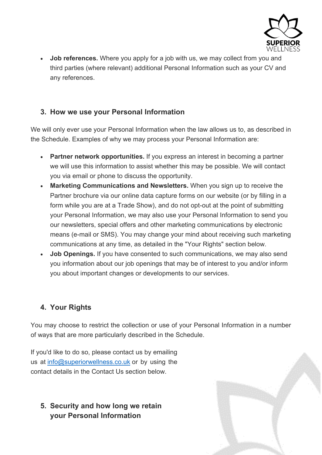

• **Job references.** Where you apply for a job with us, we may collect from you and third parties (where relevant) additional Personal Information such as your CV and any references.

### **3. How we use your Personal Information**

We will only ever use your Personal Information when the law allows us to, as described in the Schedule. Examples of why we may process your Personal Information are:

- **Partner network opportunities.** If you express an interest in becoming a partner we will use this information to assist whether this may be possible. We will contact you via email or phone to discuss the opportunity.
- **Marketing Communications and Newsletters.** When you sign up to receive the Partner brochure via our online data capture forms on our website (or by filling in a form while you are at a Trade Show), and do not opt-out at the point of submitting your Personal Information, we may also use your Personal Information to send you our newsletters, special offers and other marketing communications by electronic means (e-mail or SMS). You may change your mind about receiving such marketing communications at any time, as detailed in the "Your Rights" section below.
- **Job Openings.** If you have consented to such communications, we may also send you information about our job openings that may be of interest to you and/or inform you about important changes or developments to our services.

## **4. Your Rights**

You may choose to restrict the collection or use of your Personal Information in a number of ways that are more particularly described in the Schedule.

If you'd like to do so, please contact us by emailing us at [info@superiorwellness.co.uk](mailto:info@superiorwellness.co.uk) or by using the contact details in the Contact Us section below.

## **5. Security and how long we retain your Personal Information**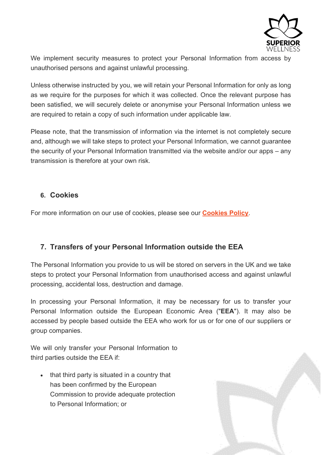

We implement security measures to protect your Personal Information from access by unauthorised persons and against unlawful processing.

Unless otherwise instructed by you, we will retain your Personal Information for only as long as we require for the purposes for which it was collected. Once the relevant purpose has been satisfied, we will securely delete or anonymise your Personal Information unless we are required to retain a copy of such information under applicable law.

Please note, that the transmission of information via the internet is not completely secure and, although we will take steps to protect your Personal Information, we cannot guarantee the security of your Personal Information transmitted via the website and/or our apps – any transmission is therefore at your own risk.

#### **6. Cookies**

For more information on our use of cookies, please see our **Cookies Policy**.

#### **7. Transfers of your Personal Information outside the EEA**

The Personal Information you provide to us will be stored on servers in the UK and we take steps to protect your Personal Information from unauthorised access and against unlawful processing, accidental loss, destruction and damage.

In processing your Personal Information, it may be necessary for us to transfer your Personal Information outside the European Economic Area ("**EEA**"). It may also be accessed by people based outside the EEA who work for us or for one of our suppliers or group companies.

We will only transfer your Personal Information to third parties outside the EEA if:

• that third party is situated in a country that has been confirmed by the European Commission to provide adequate protection to Personal Information; or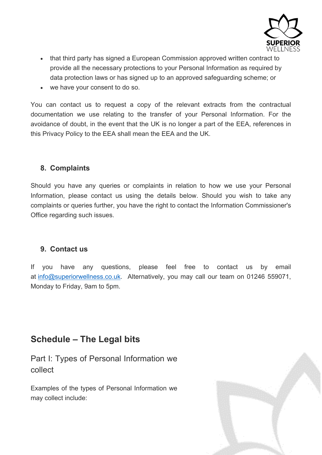

- that third party has signed a European Commission approved written contract to provide all the necessary protections to your Personal Information as required by data protection laws or has signed up to an approved safeguarding scheme; or
- we have your consent to do so.

You can contact us to request a copy of the relevant extracts from the contractual documentation we use relating to the transfer of your Personal Information. For the avoidance of doubt, in the event that the UK is no longer a part of the EEA, references in this Privacy Policy to the EEA shall mean the EEA and the UK.

#### **8. Complaints**

Should you have any queries or complaints in relation to how we use your Personal Information, please contact us using the details below. Should you wish to take any complaints or queries further, you have the right to contact the Information Commissioner's Office regarding such issues.

#### **9. Contact us**

If you have any questions, please feel free to contact us by email at [info@superiorwellness.co.uk.](mailto:info@superiorwellness.co.uk) Alternatively, you may call our team on 01246 559071, Monday to Friday, 9am to 5pm.

## **Schedule – The Legal bits**

Part I: Types of Personal Information we collect

Examples of the types of Personal Information we may collect include:

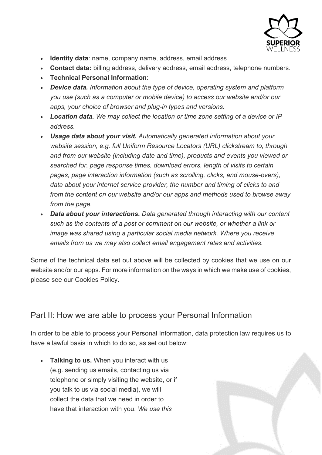

- **Identity data**: name, company name, address, email address
- **Contact data:** billing address, delivery address, email address, telephone numbers.
- **Technical Personal Information**:
- *Device data. Information about the type of device, operating system and platform you use (such as a computer or mobile device) to access our website and/or our apps, your choice of browser and plug-in types and versions.*
- *Location data. We may collect the location or time zone setting of a device or IP address.*
- *Usage data about your visit. Automatically generated information about your website session, e.g. full Uniform Resource Locators (URL) clickstream to, through and from our website (including date and time), products and events you viewed or searched for, page response times, download errors, length of visits to certain pages, page interaction information (such as scrolling, clicks, and mouse-overs), data about your internet service provider, the number and timing of clicks to and from the content on our website and/or our apps and methods used to browse away from the page.*
- *Data about your interactions. Data generated through interacting with our content such as the contents of a post or comment on our website, or whether a link or image was shared using a particular social media network. Where you receive emails from us we may also collect email engagement rates and activities.*

Some of the technical data set out above will be collected by cookies that we use on our website and/or our apps. For more information on the ways in which we make use of cookies, please see our Cookies Policy.

## Part II: How we are able to process your Personal Information

In order to be able to process your Personal Information, data protection law requires us to have a lawful basis in which to do so, as set out below:

• **Talking to us.** When you interact with us (e.g. sending us emails, contacting us via telephone or simply visiting the website, or if you talk to us via social media), we will collect the data that we need in order to have that interaction with you. *We use this*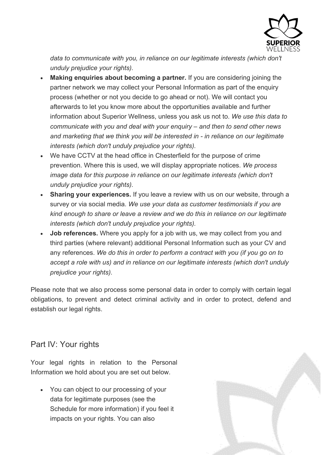

data to communicate with you, in reliance on our legitimate interests (which don't *unduly prejudice your rights).*

- **Making enquiries about becoming a partner.** If you are considering joining the partner network we may collect your Personal Information as part of the enquiry process (whether or not you decide to go ahead or not). We will contact you afterwards to let you know more about the opportunities available and further information about Superior Wellness, unless you ask us not to. *We use this data to communicate with you and deal with your enquiry – and then to send other news and marketing that we think you will be interested in - in reliance on our legitimate interests (which don't unduly prejudice your rights).*
- We have CCTV at the head office in Chesterfield for the purpose of crime prevention. Where this is used, we will display appropriate notices. *We process image data for this purpose in reliance on our legitimate interests (which don't unduly prejudice your rights).*
- **Sharing your experiences.** If you leave a review with us on our website, through a survey or via social media. *We use your data as customer testimonials if you are kind enough to share or leave a review and we do this in reliance on our legitimate interests (which don't unduly prejudice your rights).*
- **Job references.** Where you apply for a job with us, we may collect from you and third parties (where relevant) additional Personal Information such as your CV and any references. *We do this in order to perform a contract with you (if you go on to accept a role with us) and in reliance on our legitimate interests (which don't unduly prejudice your rights).*

Please note that we also process some personal data in order to comply with certain legal obligations, to prevent and detect criminal activity and in order to protect, defend and establish our legal rights.

## Part IV: Your rights

Your legal rights in relation to the Personal Information we hold about you are set out below.

• You can object to our processing of your data for legitimate purposes (see the Schedule for more information) if you feel it impacts on your rights. You can also